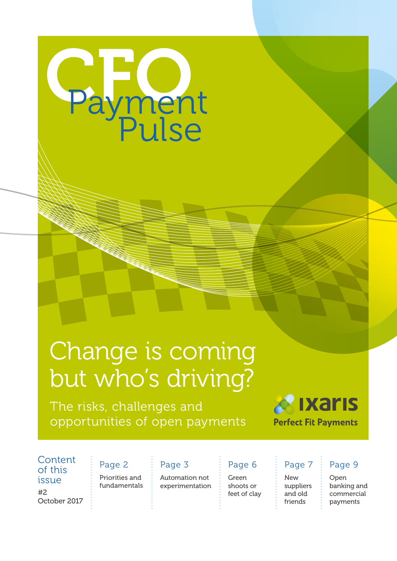

## Change is coming but who's driving?

The risks, challenges and opportunities of open payments



**Content** of this

#2 October 2017

#### Page 2

issue : Priorities and fundamentals

#### Page 3

Automation not experimentation

#### Page 6

Green shoots or feet of clay

#### Page 7

New suppliers and old friends

#### Page 9

Open banking and commercial payments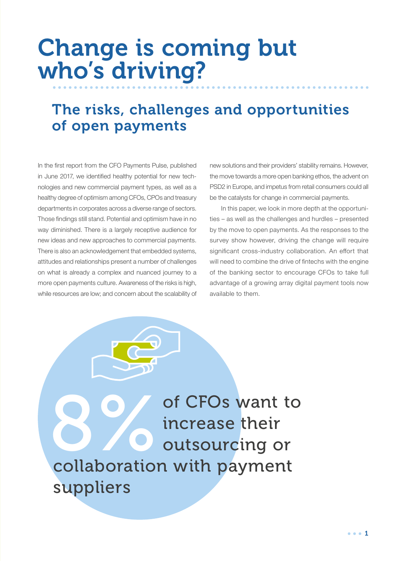## Change is coming but who's driving?

### The risks, challenges and opportunities of open payments

In the first report from the CFO Payments Pulse, published in June 2017, we identified healthy potential for new technologies and new commercial payment types, as well as a healthy degree of optimism among CFOs, CPOs and treasury departments in corporates across a diverse range of sectors. Those findings still stand. Potential and optimism have in no way diminished. There is a largely receptive audience for new ideas and new approaches to commercial payments. There is also an acknowledgement that embedded systems, attitudes and relationships present a number of challenges on what is already a complex and nuanced journey to a more open payments culture. Awareness of the risks is high, while resources are low; and concern about the scalability of

new solutions and their providers' stability remains. However, the move towards a more open banking ethos, the advent on PSD2 in Europe, and impetus from retail consumers could all be the catalysts for change in commercial payments.

In this paper, we look in more depth at the opportunities – as well as the challenges and hurdles – presented by the move to open payments. As the responses to the survey show however, driving the change will require significant cross-industry collaboration. An effort that will need to combine the drive of fintechs with the engine of the banking sector to encourage CFOs to take full advantage of a growing array digital payment tools now available to them.

8 of CFOs want to<br>increase their<br>collaboration with nayment increase their outsourcing or collaboration with payment suppliers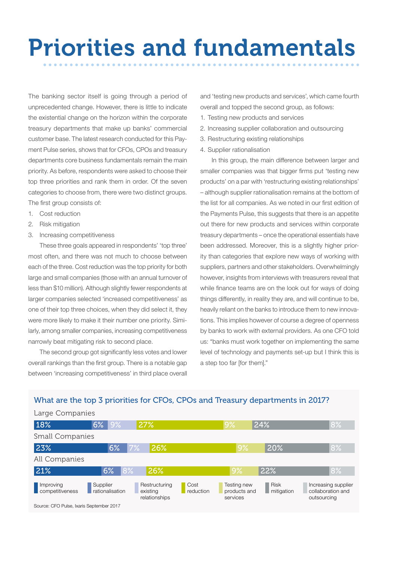# Priorities and fundamentals

The banking sector itself is going through a period of unprecedented change. However, there is little to indicate the existential change on the horizon within the corporate treasury departments that make up banks' commercial customer base. The latest research conducted for this Payment Pulse series, shows that for CFOs, CPOs and treasury departments core business fundamentals remain the main priority. As before, respondents were asked to choose their top three priorities and rank them in order. Of the seven categories to choose from, there were two distinct groups. The first group consists of:

- 1. Cost reduction
- 2. Risk mitigation
- 3. Increasing competitiveness

These three goals appeared in respondents' 'top three' most often, and there was not much to choose between each of the three. Cost reduction was the top priority for both large and small companies (those with an annual turnover of less than \$10 million). Although slightly fewer respondents at larger companies selected 'increased competitiveness' as one of their top three choices, when they did select it, they were more likely to make it their number one priority. Similarly, among smaller companies, increasing competitiveness narrowly beat mitigating risk to second place.

The second group got significantly less votes and lower overall rankings than the first group. There is a notable gap between 'increasing competitiveness' in third place overall

and 'testing new products and services', which came fourth overall and topped the second group, as follows:

- 1. Testing new products and services
- 2. Increasing supplier collaboration and outsourcing
- 3. Restructuring existing relationships
- 4. Supplier rationalisation

In this group, the main difference between larger and smaller companies was that bigger firms put 'testing new products' on a par with 'restructuring existing relationships' – although supplier rationalisation remains at the bottom of the list for all companies. As we noted in our first edition of the Payments Pulse, this suggests that there is an appetite out there for new products and services within corporate treasury departments – once the operational essentials have been addressed. Moreover, this is a slightly higher priority than categories that explore new ways of working with suppliers, partners and other stakeholders. Overwhelmingly however, insights from interviews with treasurers reveal that while finance teams are on the look out for ways of doing things differently, in reality they are, and will continue to be, heavily reliant on the banks to introduce them to new innovations. This implies however of course a degree of openness by banks to work with external providers. As one CFO told us: "banks must work together on implementing the same level of technology and payments set-up but I think this is a step too far [for them]."

#### 18% 6% 9% 27% 9% 24% 8% Large Companies Small Companies All Companies Improving **Competitiveness** Supplier rationalisation Restructuring existing relationships Cost reduction Testing new products and services Risk mitigation Increasing supplier collaboration and outsourcing 23% 21% 6% 8% 26% 9% 22% 8% 6% 7% 26% 9% 20% 8%

#### What are the top 3 priorities for CFOs, CPOs and Treasury departments in 2017?

Source: CFO Pulse, Ixaris September 2017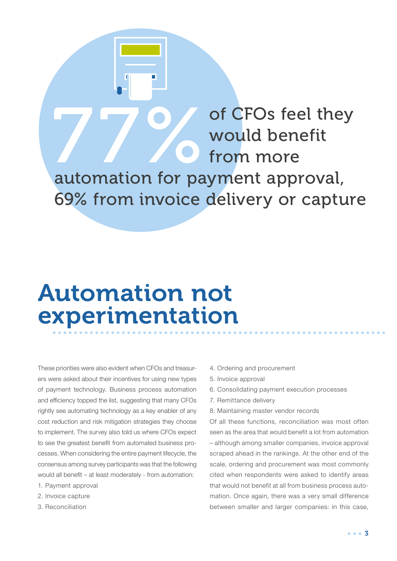THE STRING OF OUR OF CFOS feel they<br>move for payment approval automation for payment approval, 69% from invoice delivery or capture

## Automation not experimentation

These priorities were also evident when CFOs and treasurers were asked about their incentives for using new types of payment technology. Business process automation and efficiency topped the list, suggesting that many CFOs rightly see automating technology as a key enabler of any cost reduction and risk mitigation strategies they choose to implement. The survey also told us where CFOs expect to see the greatest benefit from automated business processes. When considering the entire payment lifecycle, the consensus among survey participants was that the following would all benefit – at least moderately - from automation:

- 1. Payment approval
- 2. Invoice capture
- 3. Reconciliation
- 4. Ordering and procurement
- 5. Invoice approval
- 6. Consolidating payment execution processes
- 7. Remittance delivery
- 8. Maintaining master vendor records

would benefit

from more

Of all these functions, reconciliation was most often seen as the area that would benefit a lot from automation – although among smaller companies, invoice approval scraped ahead in the rankings. At the other end of the scale, ordering and procurement was most commonly cited when respondents were asked to identify areas that would not benefit at all from business process automation. Once again, there was a very small difference between smaller and larger companies: in this case,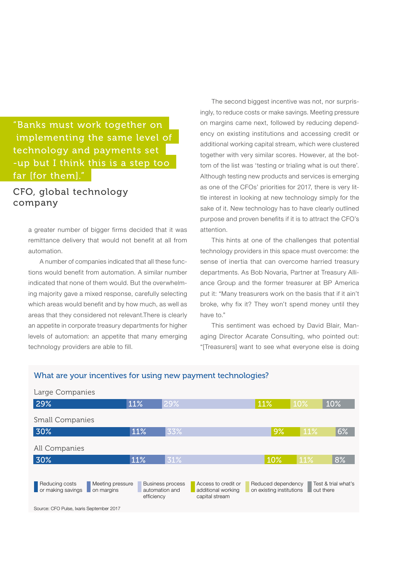#### "Banks must work together on implementing the same level of technology and payments set -up but I think this is a step too far [for them]."

#### CFO, global technology company

a greater number of bigger firms decided that it was remittance delivery that would not benefit at all from automation.

A number of companies indicated that all these functions would benefit from automation. A similar number indicated that none of them would. But the overwhelming majority gave a mixed response, carefully selecting which areas would benefit and by how much, as well as areas that they considered not relevant.There is clearly an appetite in corporate treasury departments for higher levels of automation: an appetite that many emerging technology providers are able to fill.

The second biggest incentive was not, nor surprisingly, to reduce costs or make savings. Meeting pressure on margins came next, followed by reducing dependency on existing institutions and accessing credit or additional working capital stream, which were clustered together with very similar scores. However, at the bottom of the list was 'testing or trialing what is out there'. Although testing new products and services is emerging as one of the CFOs' priorities for 2017, there is very little interest in looking at new technology simply for the sake of it. New technology has to have clearly outlined purpose and proven benefits if it is to attract the CFO's attention.

This hints at one of the challenges that potential technology providers in this space must overcome: the sense of inertia that can overcome harried treasury departments. As Bob Novaria, Partner at Treasury Alliance Group and the former treasurer at BP America put it: "Many treasurers work on the basis that if it ain't broke, why fix it? They won't spend money until they have to."

This sentiment was echoed by David Blair, Managing Director Acarate Consulting, who pointed out: "[Treasurers] want to see what everyone else is doing



Source: CFO Pulse, Ixaris September 2017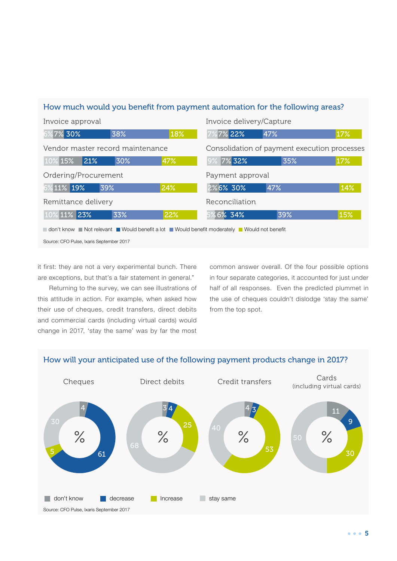#### How much would you benefit from payment automation for the following areas?

| Invoice approval                                                                       |     |     | Invoice delivery/Capture                     |     |     |
|----------------------------------------------------------------------------------------|-----|-----|----------------------------------------------|-----|-----|
| 7% 30%<br>6%                                                                           | 38% | 18% | 7%7% 22%                                     | 47% | 17% |
| Vendor master record maintenance                                                       |     |     | Consolidation of payment execution processes |     |     |
| %15%<br>21%                                                                            | 30% | 47% | 7% 32%                                       | 35% | 17% |
| Ordering/Procurement                                                                   |     |     | Payment approval                             |     |     |
| 6%11% 19%                                                                              | 39% | 24% | 2%6% 30%                                     | 47% | 14% |
| Remittance delivery                                                                    |     |     | Reconciliation                               |     |     |
| % 11% 23%                                                                              | 33% | 22% | 5% 6% 34%                                    | 39% | 15% |
| con't know Not relevant Would benefit a lot Nould benefit moderately Nould not benefit |     |     |                                              |     |     |
| Source: CFO Pulse, Ixaris September 2017                                               |     |     |                                              |     |     |

it first: they are not a very experimental bunch. There are exceptions, but that's a fair statement in general."

Returning to the survey, we can see illustrations of this attitude in action. For example, when asked how their use of cheques, credit transfers, direct debits and commercial cards (including virtual cards) would change in 2017, 'stay the same' was by far the most

common answer overall. Of the four possible options in four separate categories, it accounted for just under half of all responses. Even the predicted plummet in the use of cheques couldn't dislodge 'stay the same' from the top spot.



#### How will your anticipated use of the following payment products change in 2017?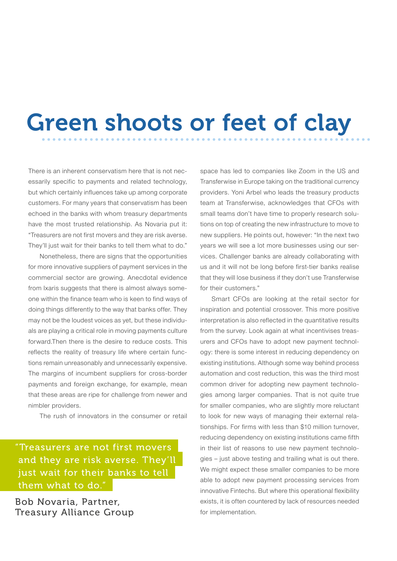# Green shoots or feet of clay

There is an inherent conservatism here that is not necessarily specific to payments and related technology, but which certainly influences take up among corporate customers. For many years that conservatism has been echoed in the banks with whom treasury departments have the most trusted relationship. As Novaria put it: "Treasurers are not first movers and they are risk averse. They'll just wait for their banks to tell them what to do."

Nonetheless, there are signs that the opportunities for more innovative suppliers of payment services in the commercial sector are growing. Anecdotal evidence from Ixaris suggests that there is almost always someone within the finance team who is keen to find ways of doing things differently to the way that banks offer. They may not be the loudest voices as yet, but these individuals are playing a critical role in moving payments culture forward.Then there is the desire to reduce costs. This reflects the reality of treasury life where certain functions remain unreasonably and unnecessarily expensive. The margins of incumbent suppliers for cross-border payments and foreign exchange, for example, mean that these areas are ripe for challenge from newer and nimbler providers.

The rush of innovators in the consumer or retail

"Treasurers are not first movers and they are risk averse. They'll just wait for their banks to tell them what to do."

Bob Novaria, Partner, Treasury Alliance Group space has led to companies like Zoom in the US and Transferwise in Europe taking on the traditional currency providers. Yoni Arbel who leads the treasury products team at Transferwise, acknowledges that CFOs with small teams don't have time to properly research solutions on top of creating the new infrastructure to move to new suppliers. He points out, however: "In the next two years we will see a lot more businesses using our services. Challenger banks are already collaborating with us and it will not be long before first-tier banks realise that they will lose business if they don't use Transferwise for their customers."

Smart CFOs are looking at the retail sector for inspiration and potential crossover. This more positive interpretation is also reflected in the quantitative results from the survey. Look again at what incentivises treasurers and CFOs have to adopt new payment technology: there is some interest in reducing dependency on existing institutions. Although some way behind process automation and cost reduction, this was the third most common driver for adopting new payment technologies among larger companies. That is not quite true for smaller companies, who are slightly more reluctant to look for new ways of managing their external relationships. For firms with less than \$10 million turnover, reducing dependency on existing institutions came fifth in their list of reasons to use new payment technologies – just above testing and trailing what is out there. We might expect these smaller companies to be more able to adopt new payment processing services from innovative Fintechs. But where this operational flexibility exists, it is often countered by lack of resources needed for implementation.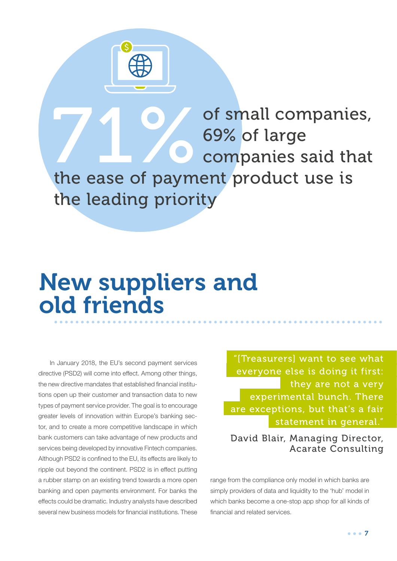THE CONSIDERED COMPANIES SAID COMPANIES SAID THE COMPANIES SAID THE COMPANIES SAID THE COMPANIES OF SAID THE COMPANIES OF SAID THE COMPANIES OF SAID THE COMPANIES OF SAID THE COMPANIES OF SAID THE COMPANIES OF SAID THE COM 69% of large companies said that the ease of payment product use is the leading priority

## New suppliers and old friends

In January 2018, the EU's second payment services directive (PSD2) will come into effect. Among other things, the new directive mandates that established financial institutions open up their customer and transaction data to new types of payment service provider. The goal is to encourage greater levels of innovation within Europe's banking sector, and to create a more competitive landscape in which bank customers can take advantage of new products and services being developed by innovative Fintech companies. Although PSD2 is confined to the EU, its effects are likely to ripple out beyond the continent. PSD2 is in effect putting a rubber stamp on an existing trend towards a more open banking and open payments environment. For banks the effects could be dramatic. Industry analysts have described several new business models for financial institutions. These

"[Treasurers] want to see what everyone else is doing it first: they are not a very experimental bunch. There are exceptions, but that's a fair statement in general."

David Blair, Managing Director, Acarate Consulting

range from the compliance only model in which banks are simply providers of data and liquidity to the 'hub' model in which banks become a one-stop app shop for all kinds of financial and related services.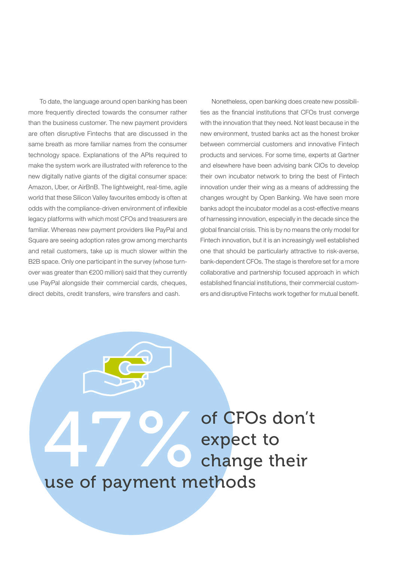To date, the language around open banking has been more frequently directed towards the consumer rather than the business customer. The new payment providers are often disruptive Fintechs that are discussed in the same breath as more familiar names from the consumer technology space. Explanations of the APIs required to make the system work are illustrated with reference to the new digitally native giants of the digital consumer space: Amazon, Uber, or AirBnB. The lightweight, real-time, agile world that these Silicon Valley favourites embody is often at odds with the compliance-driven environment of inflexible legacy platforms with which most CFOs and treasurers are familiar. Whereas new payment providers like PayPal and Square are seeing adoption rates grow among merchants and retail customers, take up is much slower within the B2B space. Only one participant in the survey (whose turnover was greater than €200 million) said that they currently use PayPal alongside their commercial cards, cheques, direct debits, credit transfers, wire transfers and cash.

Nonetheless, open banking does create new possibilities as the financial institutions that CFOs trust converge with the innovation that they need. Not least because in the new environment, trusted banks act as the honest broker between commercial customers and innovative Fintech products and services. For some time, experts at Gartner and elsewhere have been advising bank CIOs to develop their own incubator network to bring the best of Fintech innovation under their wing as a means of addressing the changes wrought by Open Banking. We have seen more banks adopt the incubator model as a cost-effective means of harnessing innovation, especially in the decade since the global financial crisis. This is by no means the only model for Fintech innovation, but it is an increasingly well established one that should be particularly attractive to risk-averse, bank-dependent CFOs. The stage is therefore set for a more collaborative and partnership focused approach in which established financial institutions, their commercial customers and disruptive Fintechs work together for mutual benefit.

47 O of CFOs don't<br>expect to<br>use of navment methods expect to change their use of payment methods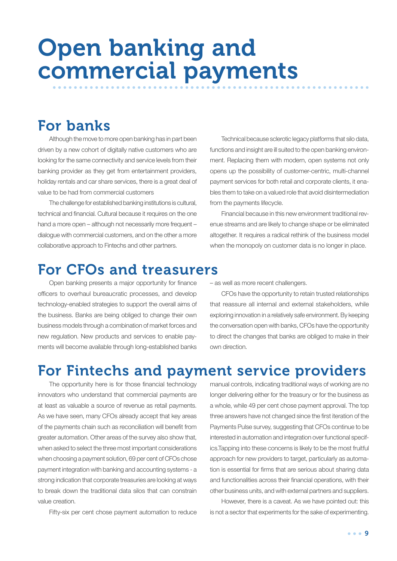## Open banking and commercial payments

### For banks

Although the move to more open banking has in part been driven by a new cohort of digitally native customers who are looking for the same connectivity and service levels from their banking provider as they get from entertainment providers, holiday rentals and car share services, there is a great deal of value to be had from commercial customers

The challenge for established banking institutions is cultural, technical and financial. Cultural because it requires on the one hand a more open – although not necessarily more frequent – dialogue with commercial customers, and on the other a more collaborative approach to Fintechs and other partners.

Technical because sclerotic legacy platforms that silo data, functions and insight are ill suited to the open banking environment. Replacing them with modern, open systems not only opens up the possibility of customer-centric, multi-channel payment services for both retail and corporate clients, it enables them to take on a valued role that avoid disintermediation from the payments lifecycle.

Financial because in this new environment traditional revenue streams and are likely to change shape or be eliminated altogether. It requires a radical rethink of the business model when the monopoly on customer data is no longer in place.

### For CFOs and treasurers

Open banking presents a major opportunity for finance officers to overhaul bureaucratic processes, and develop technology-enabled strategies to support the overall aims of the business. Banks are being obliged to change their own business models through a combination of market forces and new regulation. New products and services to enable payments will become available through long-established banks – as well as more recent challengers.

CFOs have the opportunity to retain trusted relationships that reassure all internal and external stakeholders, while exploring innovation in a relatively safe environment. By keeping the conversation open with banks, CFOs have the opportunity to direct the changes that banks are obliged to make in their own direction.

### For Fintechs and payment service providers

The opportunity here is for those financial technology innovators who understand that commercial payments are at least as valuable a source of revenue as retail payments. As we have seen, many CFOs already accept that key areas of the payments chain such as reconciliation will benefit from greater automation. Other areas of the survey also show that, when asked to select the three most important considerations when choosing a payment solution, 69 per cent of CFOs chose payment integration with banking and accounting systems - a strong indication that corporate treasuries are looking at ways to break down the traditional data silos that can constrain value creation.

Fifty-six per cent chose payment automation to reduce

manual controls, indicating traditional ways of working are no longer delivering either for the treasury or for the business as a whole, while 49 per cent chose payment approval. The top three answers have not changed since the first iteration of the Payments Pulse survey, suggesting that CFOs continue to be interested in automation and integration over functional specifics.Tapping into these concerns is likely to be the most fruitful approach for new providers to target, particularly as automation is essential for firms that are serious about sharing data and functionalities across their financial operations, with their other business units, and with external partners and suppliers.

However, there is a caveat. As we have pointed out: this is not a sector that experiments for the sake of experimenting.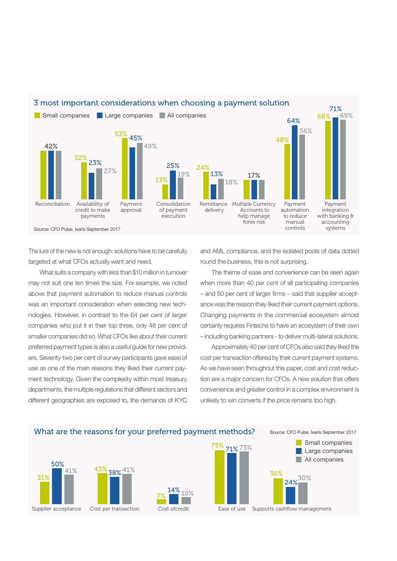

The lure of the new is not enough: solutions have to be carefully targeted at what CFOs actually want and need.

What suits a company with less than \$10 million in turnover may not suit one ten times the size. For example, we noted above that payment automation to reduce manual controls was an important consideration when selecting new technologies. However, in contrast to the 64 per cent of larger companies who put it in their top three, only 48 per cent of smaller companies did so. What CFOs like about their current preferred payment types is also a useful guide for new providers. Seventy-two per cent of survey participants gave ease of use as one of the main reasons they liked their current payment technology. Given the complexity within most treasury departments, the multiple regulations that different sectors and different geographies are exposed to, the demands of KYC

and AML compliance, and the isolated pools of data dotted round the business, this is not surprising.

The theme of ease and convenience can be seen again when more than 40 per cent of all participating companies – and 50 per cent of larger firms – said that supplier acceptance was the reason they liked their current payment options. Changing payments in the commercial ecosystem almost certainly requires Fintechs to have an ecosystem of their own – including banking partners - to deliver multi-lateral solutions.

Approximately 40 per cent of CFOs also said they liked the cost per transaction offered by their current payment systems. As we have seen throughout this paper, cost and cost reduction are a major concern for CFOs. A new solution that offers convenience and greater control in a complex environment is unlikely to win converts if the price remains too high.

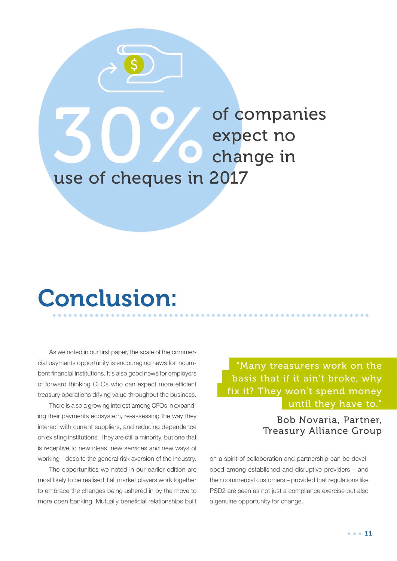

## Conclusion:

As we noted in our first paper, the scale of the commercial payments opportunity is encouraging news for incumbent financial institutions. It's also good news for employers of forward thinking CFOs who can expect more efficient treasury operations driving value throughout the business.

There is also a growing interest among CFOs in expanding their payments ecosystem, re-assessing the way they interact with current suppliers, and reducing dependence on existing institutions. They are still a minority, but one that is receptive to new ideas, new services and new ways of working - despite the general risk aversion of the industry.

The opportunities we noted in our earlier edition are most likely to be realised if all market players work together to embrace the changes being ushered in by the move to more open banking. Mutually beneficial relationships built

"Many treasurers work on the basis that if it ain't broke, why fix it? They won't spend money until they have to."

> Bob Novaria, Partner, Treasury Alliance Group

on a spirit of collaboration and partnership can be developed among established and disruptive providers – and their commercial customers – provided that regulations like PSD2 are seen as not just a compliance exercise but also a genuine opportunity for change.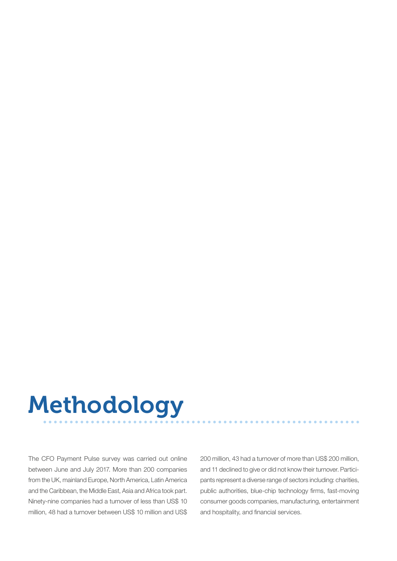# Methodology

The CFO Payment Pulse survey was carried out online between June and July 2017. More than 200 companies from the UK, mainland Europe, North America, Latin America and the Caribbean, the Middle East, Asia and Africa took part. Ninety-nine companies had a turnover of less than US\$ 10 million, 48 had a turnover between US\$ 10 million and US\$ 200 million, 43 had a turnover of more than US\$ 200 million, and 11 declined to give or did not know their turnover. Participants represent a diverse range of sectors including: charities, public authorities, blue-chip technology firms, fast-moving consumer goods companies, manufacturing, entertainment and hospitality, and financial services.